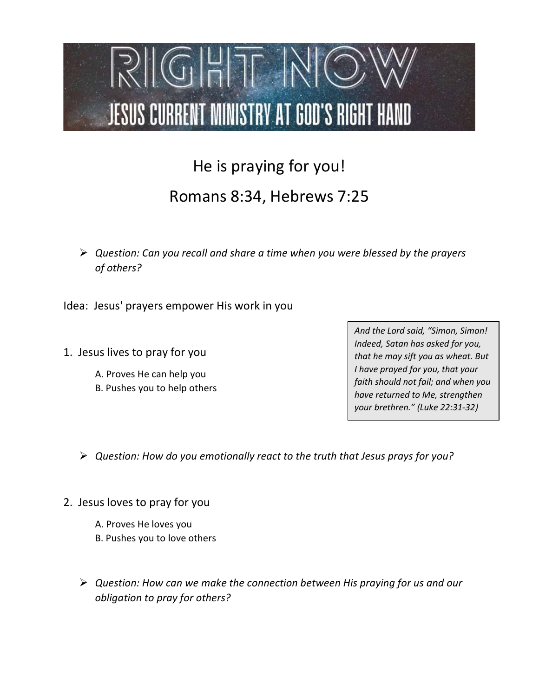

## He is praying for you! Romans 8:34, Hebrews 7:25

 $\triangleright$  Question: Can you recall and share a time when you were blessed by the prayers of others?

Idea: Jesus' prayers empower His work in you

- 1. Jesus lives to pray for you
	- A. Proves He can help you
	- B. Pushes you to help others

And the Lord said, "Simon, Simon! Indeed, Satan has asked for you, that he may sift you as wheat. But I have prayed for you, that your faith should not fail; and when you have returned to Me, strengthen your brethren." (Luke 22:31-32)

 $\triangleright$  Question: How do you emotionally react to the truth that Jesus prays for you?

- 2. Jesus loves to pray for you
	- A. Proves He loves you
	- B. Pushes you to love others
	- $\triangleright$  Question: How can we make the connection between His praying for us and our obligation to pray for others?